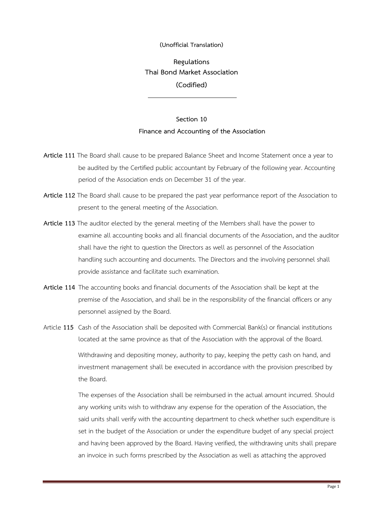## **(Unofficial Translation)**

**Regulations Thai Bond Market Association (Codified)**

## **Section 10 Finance and Accounting of the Association**

- **Article 111** The Board shall cause to be prepared Balance Sheet and Income Statement once a year to be audited by the Certified public accountant by February of the following year. Accounting period of the Association ends on December 31 of the year.
- **Article 112** The Board shall cause to be prepared the past year performance report of the Association to present to the general meeting of the Association.
- **Article 113** The auditor elected by the general meeting of the Members shall have the power to examine all accounting books and all financial documents of the Association, and the auditor shall have the right to question the Directors as well as personnel of the Association handling such accounting and documents. The Directors and the involving personnel shall provide assistance and facilitate such examination.
- **Article 114** The accounting books and financial documents of the Association shall be kept at the premise of the Association, and shall be in the responsibility of the financial officers or any personnel assigned by the Board.
- Article **115** Cash of the Association shall be deposited with Commercial Bank(s) or financial institutions located at the same province as that of the Association with the approval of the Board. Withdrawing and depositing money, authority to pay, keeping the petty cash on hand, and investment management shall be executed in accordance with the provision prescribed by the Board.

The expenses of the Association shall be reimbursed in the actual amount incurred. Should any working units wish to withdraw any expense for the operation of the Association, the said units shall verify with the accounting department to check whether such expenditure is set in the budget of the Association or under the expenditure budget of any special project and having been approved by the Board. Having verified, the withdrawing units shall prepare an invoice in such forms prescribed by the Association as well as attaching the approved